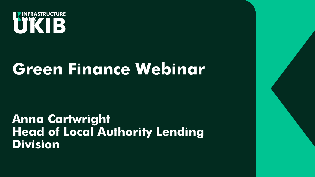

## **Green Finance Webinar**

**Anna Cartwright Head of Local Authority Lending Division**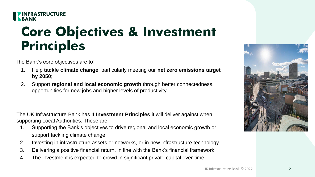

#### **Core Objectives & Investment Principles**

The Bank's core objectives are to:

- 1. Help **tackle climate change**, particularly meeting our **net zero emissions target by 2050**;
- 2. Support **regional and local economic growth** through better connectedness, opportunities for new jobs and higher levels of productivity

The UK Infrastructure Bank has 4 **Investment Principles** it will deliver against when supporting Local Authorities. These are:

- 1. Supporting the Bank's objectives to drive regional and local economic growth or support tackling climate change.
- 2. Investing in infrastructure assets or networks, or in new infrastructure technology.
- 3. Delivering a positive financial return, in line with the Bank's financial framework.
- 4. The investment is expected to crowd in significant private capital over time.

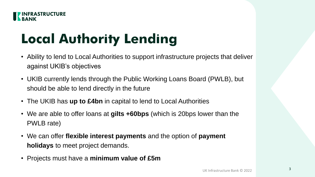

## **Local Authority Lending**

- Ability to lend to Local Authorities to support infrastructure projects that deliver against UKIB's objectives
- UKIB currently lends through the Public Working Loans Board (PWLB), but should be able to lend directly in the future
- The UKIB has **up to £4bn** in capital to lend to Local Authorities
- We are able to offer loans at **gilts +60bps** (which is 20bps lower than the PWLB rate)
- We can offer **flexible interest payments** and the option of **payment holidays** to meet project demands.
- Projects must have a **minimum value of £5m**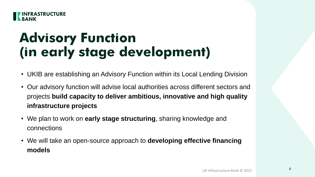

#### **Advisory Function (in early stage development)**

- UKIB are establishing an Advisory Function within its Local Lending Division
- Our advisory function will advise local authorities across different sectors and projects **build capacity to deliver ambitious, innovative and high quality infrastructure projects**
- We plan to work on **early stage structuring**, sharing knowledge and connections
- We will take an open-source approach to **developing effective financing models**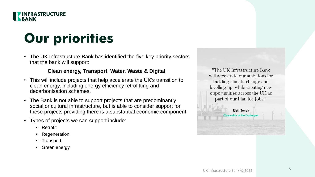

#### **Our priorities**

• The UK Infrastructure Bank has identified the five key priority sectors that the bank will support:

#### **Clean energy, Transport, Water, Waste & Digital**

- This will include projects that help accelerate the UK's transition to clean energy, including energy efficiency retrofitting and decarbonisation schemes.
- The Bank is not able to support projects that are predominantly social or cultural infrastructure, but is able to consider support for these projects providing there is a substantial economic component
- Types of projects we can support include:
	- Retrofit
	- **Regeneration**
	- **Transport**
	- Green energy

"The UK Infrastructure Bank will accelerate our ambitions for tackling climate change and levelling up, while creating new opportunities across the UK as part of our Plan for Jobs."

> Rishi Sunak **Chancellor of the Excheque**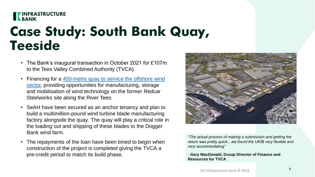#### **EXPRESS TRUCTURE**

#### **Case Study: South Bank Quay, Teeside**

- The Bank's inaugural transaction in October 2021 for £107m to the Tees Valley Combined Authority (TVCA).
- Financing for a 450-metre quay to service the offshore wind sector, providing opportunities for manufacturing, storage and mobilisation of wind technology on the former Redcar Steelworks site along the River Tees.
- SeAH have been secured as an anchor tenancy and plan to build a multimillion-pound wind turbine blade manufacturing factory alongside the quay. The quay will play a critical role in the loading out and shipping of these blades to the Dogger Bank wind farm.
- The repayments of the loan have been timed to begin when construction of the project is completed giving the TVCA a pre-credit period to match its build phase.



*"The actual process of making a submission and getting the return was pretty quick…we found the UKIB very flexible and very accommodating"*

- **Gary MacDonald, Group Director of Finance and Resources for TVCA**